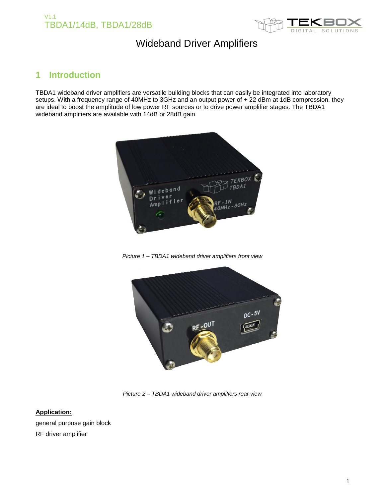



## **1 Introduction**

TBDA1 wideband driver amplifiers are versatile building blocks that can easily be integrated into laboratory setups. With a frequency range of 40MHz to 3GHz and an output power of + 22 dBm at 1dB compression, they are ideal to boost the amplitude of low power RF sources or to drive power amplifier stages. The TBDA1 wideband amplifiers are available with 14dB or 28dB gain.



*Picture 1 – TBDA1 wideband driver amplifiers front view*



*Picture 2 – TBDA1 wideband driver amplifiers rear view*

#### **Application:**

general purpose gain block RF driver amplifier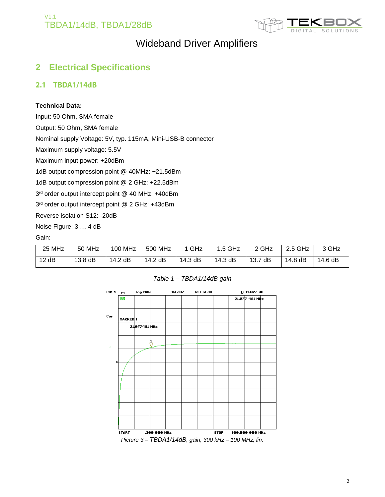



### **2 Electrical Specifications**

#### 2.1 TBDA1/14dB

#### **Technical Data:**

Input: 50 Ohm, SMA female

Output: 50 Ohm, SMA female

Nominal supply Voltage: 5V, typ. 115mA, Mini-USB-B connector

Maximum supply voltage: 5.5V

Maximum input power: +20dBm

1dB output compression point @ 40MHz: +21.5dBm

1dB output compression point @ 2 GHz: +22.5dBm

3 rd order output intercept point @ 40 MHz: +40dBm

3 rd order output intercept point @ 2 GHz: +43dBm

Reverse isolation S12: -20dB

Noise Figure: 3 … 4 dB

Gain:

| 25 MHz | 50 MHz    | 100 MHz | 500 MHz | 1 GHz   | $1.5$ GHz | 2 GHz   | 2.5 GHz | 3 GHz   |
|--------|-----------|---------|---------|---------|-----------|---------|---------|---------|
| 12dB   | $13.8$ dB | 14.2 dB | 14.2 dB | 14.3 dB | 14.3 dB   | 13.7 dB | 14.8 dB | 14.6 dB |



*Table 1 – TBDA1/14dB gain*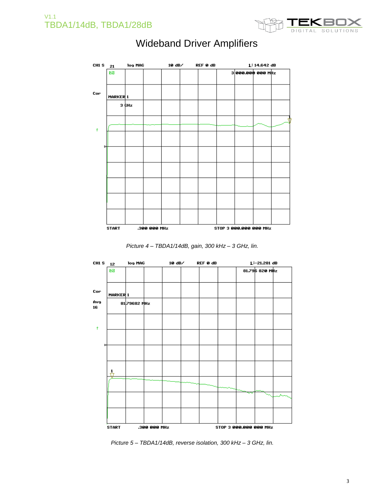



*Picture 4 – TBDA1/14dB, gain, 300 kHz – 3 GHz, lin.*



*Picture 5 – TBDA1/14dB, reverse isolation, 300 kHz – 3 GHz, lin.*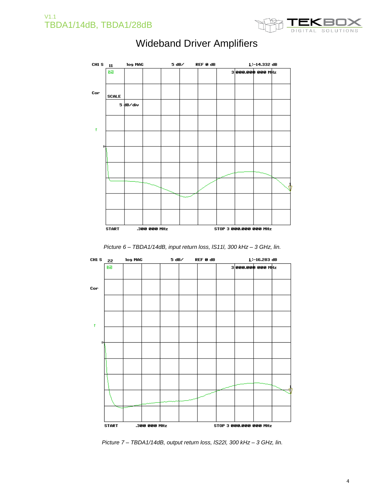



*Picture 6 – TBDA1/14dB, input return loss, lS11l, 300 kHz – 3 GHz, lin.*



*Picture 7 – TBDA1/14dB, output return loss, lS22l, 300 kHz – 3 GHz, lin.*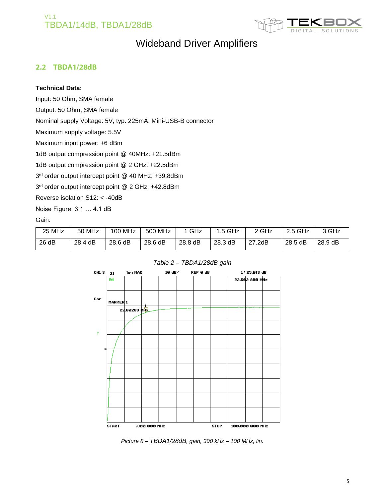

### 2.2 TBDA1/28dB

#### **Technical Data:**

Input: 50 Ohm, SMA female

Output: 50 Ohm, SMA female

Nominal supply Voltage: 5V, typ. 225mA, Mini-USB-B connector

Maximum supply voltage: 5.5V

Maximum input power: +6 dBm

1dB output compression point @ 40MHz: +21.5dBm

1dB output compression point @ 2 GHz: +22.5dBm

3 rd order output intercept point @ 40 MHz: +39.8dBm

3 rd order output intercept point @ 2 GHz: +42.8dBm

Reverse isolation S12: < -40dB

Noise Figure: 3.1 … 4.1 dB

Gain:

| 25 MHz | 50 MHz  | 100 MHz | 500 MHz | GHz     | $1.5$ GHz | <sup>ን</sup> GHz | 2.5 GHz | 3 GHz   |
|--------|---------|---------|---------|---------|-----------|------------------|---------|---------|
| 26 dB  | 28.4 dB | 28.6 dB | 28.6 dB | 28.8 dB | 28.3 dB   | 27.2dB           | 28.5 dB | 28.9 dB |

#### *Table 2 – TBDA1/28dB gain*



*Picture 8 – TBDA1/28dB, gain, 300 kHz – 100 MHz, lin.*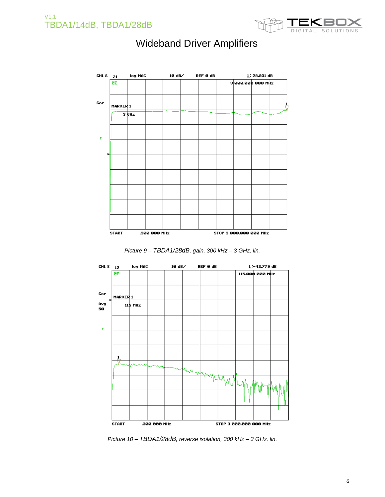



*Picture 9 – TBDA1/28dB, gain, 300 kHz – 3 GHz, lin.*



*Picture 10 – TBDA1/28dB, reverse isolation, 300 kHz – 3 GHz, lin.*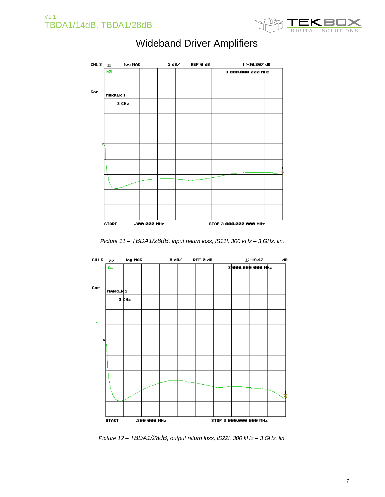



*Picture 11 – TBDA1/28dB, input return loss, lS11l, 300 kHz – 3 GHz, lin.*



*Picture 12 – TBDA1/28dB, output return loss, lS22l, 300 kHz – 3 GHz, lin.*